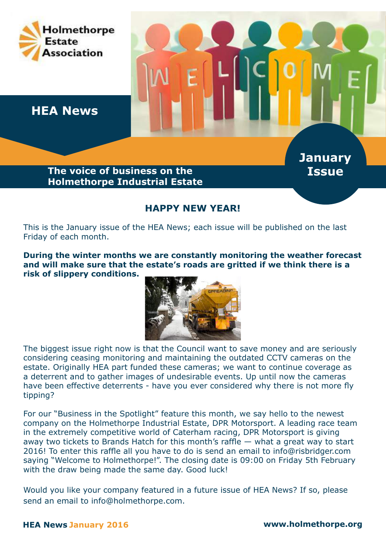

## **HAPPY NEW YEAR!**

This is the January issue of the HEA News; each issue will be published on the last Friday of each month.

**During the winter months we are constantly monitoring the weather forecast and will make sure that the estate's roads are gritted if we think there is a risk of slippery conditions.**



The biggest issue right now is that the Council want to save money and are seriously considering ceasing monitoring and maintaining the outdated CCTV cameras on the estate. Originally HEA part funded these cameras; we want to continue coverage as a deterrent and to gather images of undesirable events. Up until now the cameras have been effective deterrents - have you ever considered why there is not more fly tipping?

For our "Business in the Spotlight" feature this month, we say hello to the newest company on the Holmethorpe Industrial Estate, DPR Motorsport. A leading race team in the extremely competitive world of Caterham racing, DPR Motorsport is giving away two tickets to Brands Hatch for this month's raffle — what a great way to start 2016! To enter this raffle all you have to do is send an email to info@risbridger.com saying "Welcome to Holmethorpe!". The closing date is 09:00 on Friday 5th February with the draw being made the same day. Good luck!

Would you like your company featured in a future issue of HEA News? If so, please send an email to info@holmethorpe.com.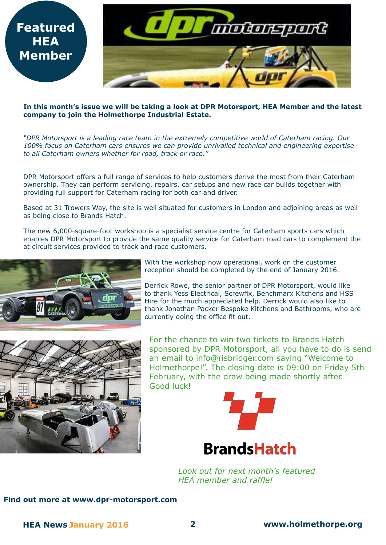

#### **In this month's issue we will be taking a look at DPR Motorsport, HEA Member and the latest company to join the Holmethorpe Industrial Estate.**

*"DPR Motorsport is a leading race team in the extremely competitive world of Caterham racing. Our 100% focus on Caterham cars ensures we can provide unrivalled technical and engineering expertise to all Caterham owners whether for road, track or race."*

DPR Motorsport offers a full range of services to help customers derive the most from their Caterham ownership. They can perform servicing, repairs, car setups and new race car builds together with providing full support for Caterham racing for both car and driver.

Based at 31 Trowers Way, the site is well situated for customers in London and adjoining areas as well as being close to Brands Hatch.

The new 6,000-square-foot workshop is a specialist service centre for Caterham sports cars which enables DPR Motorsport to provide the same quality service for Caterham road cars to complement the at circuit services provided to track and race customers.



**HEA** 



With the workshop now operational, work on the customer reception should be completed by the end of January 2016.

Derrick Rowe, the senior partner of DPR Motorsport, would like to thank Yess Electrical, Screwfix, Benchmarx Kitchens and HSS Hire for the much appreciated help. Derrick would also like to thank Jonathan Packer Bespoke Kitchens and Bathrooms, who are currently doing the office fit out.

For the chance to win two tickets to Brands Hatch sponsored by DPR Motorsport, all you have to do is send an email to info@risbridger.com saying "Welcome to Holmethorpe!". The closing date is 09:00 on Friday 5th February, with the draw being made shortly after. Good luck!



**BrandsHatch** 

*Look out for next month's featured HEA member and raffle!*

#### **Find out more at www.dpr-motorsport.com**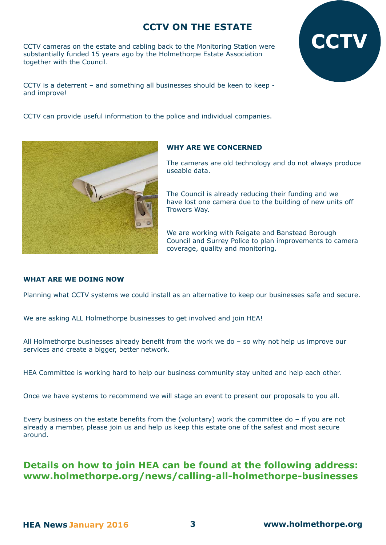# **CCTV ON THE ESTATE**

CCTV cameras on the estate and cabling back to the Monitoring Station were substantially funded 15 years ago by the Holmethorpe Estate Association together with the Council.

CCTV is a deterrent – and something all businesses should be keen to keep and improve!

CCTV can provide useful information to the police and individual companies.



#### **WHY ARE WE CONCERNED**

The cameras are old technology and do not always produce useable data.

**CCTV**

The Council is already reducing their funding and we have lost one camera due to the building of new units off Trowers Way.

We are working with Reigate and Banstead Borough Council and Surrey Police to plan improvements to camera coverage, quality and monitoring.

#### **WHAT ARE WE DOING NOW**

Planning what CCTV systems we could install as an alternative to keep our businesses safe and secure.

We are asking ALL Holmethorpe businesses to get involved and join HEA!

All Holmethorpe businesses already benefit from the work we do – so why not help us improve our services and create a bigger, better network.

HEA Committee is working hard to help our business community stay united and help each other.

Once we have systems to recommend we will stage an event to present our proposals to you all.

Every business on the estate benefits from the (voluntary) work the committee do  $-$  if you are not already a member, please join us and help us keep this estate one of the safest and most secure around.

## **Details on how to join HEA can be found at the following address: www.holmethorpe.org/news/calling-all-holmethorpe-businesses**